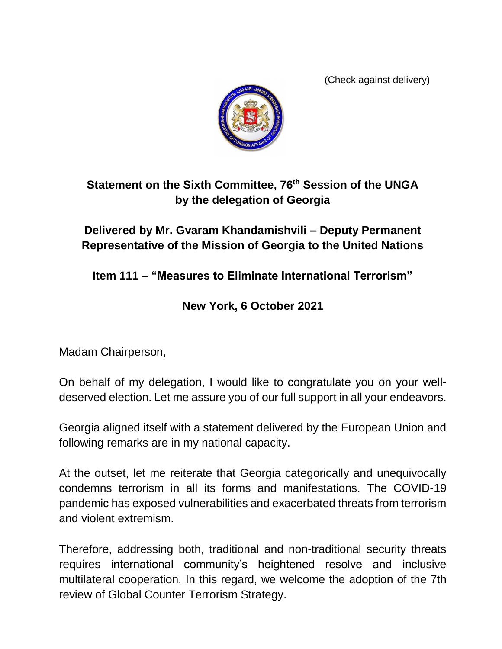(Check against delivery)



## **Statement on the Sixth Committee, 76th Session of the UNGA by the delegation of Georgia**

## **Delivered by Mr. Gvaram Khandamishvili – Deputy Permanent Representative of the Mission of Georgia to the United Nations**

**Item 111 – "Measures to Eliminate International Terrorism"**

## **New York, 6 October 2021**

Madam Chairperson,

On behalf of my delegation, I would like to congratulate you on your welldeserved election. Let me assure you of our full support in all your endeavors.

Georgia aligned itself with a statement delivered by the European Union and following remarks are in my national capacity.

At the outset, let me reiterate that Georgia categorically and unequivocally condemns terrorism in all its forms and manifestations. The COVID-19 pandemic has exposed vulnerabilities and exacerbated threats from terrorism and violent extremism.

Therefore, addressing both, traditional and non-traditional security threats requires international community's heightened resolve and inclusive multilateral cooperation. In this regard, we welcome the adoption of the 7th review of Global Counter Terrorism Strategy.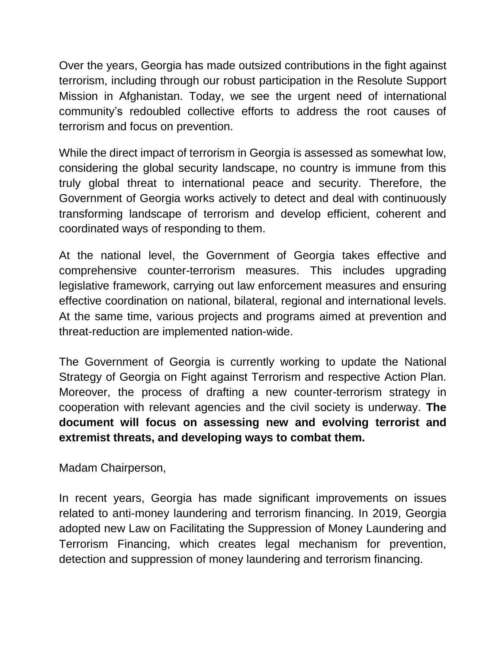Over the years, Georgia has made outsized contributions in the fight against terrorism, including through our robust participation in the Resolute Support Mission in Afghanistan. Today, we see the urgent need of international community's redoubled collective efforts to address the root causes of terrorism and focus on prevention.

While the direct impact of terrorism in Georgia is assessed as somewhat low, considering the global security landscape, no country is immune from this truly global threat to international peace and security. Therefore, the Government of Georgia works actively to detect and deal with continuously transforming landscape of terrorism and develop efficient, coherent and coordinated ways of responding to them.

At the national level, the Government of Georgia takes effective and comprehensive counter-terrorism measures. This includes upgrading legislative framework, carrying out law enforcement measures and ensuring effective coordination on national, bilateral, regional and international levels. At the same time, various projects and programs aimed at prevention and threat-reduction are implemented nation-wide.

The Government of Georgia is currently working to update the National Strategy of Georgia on Fight against Terrorism and respective Action Plan. Moreover, the process of drafting a new counter-terrorism strategy in cooperation with relevant agencies and the civil society is underway. **The document will focus on assessing new and evolving terrorist and extremist threats, and developing ways to combat them.**

Madam Chairperson,

In recent years, Georgia has made significant improvements on issues related to anti-money laundering and terrorism financing. In 2019, Georgia adopted new Law on Facilitating the Suppression of Money Laundering and Terrorism Financing, which creates legal mechanism for prevention, detection and suppression of money laundering and terrorism financing.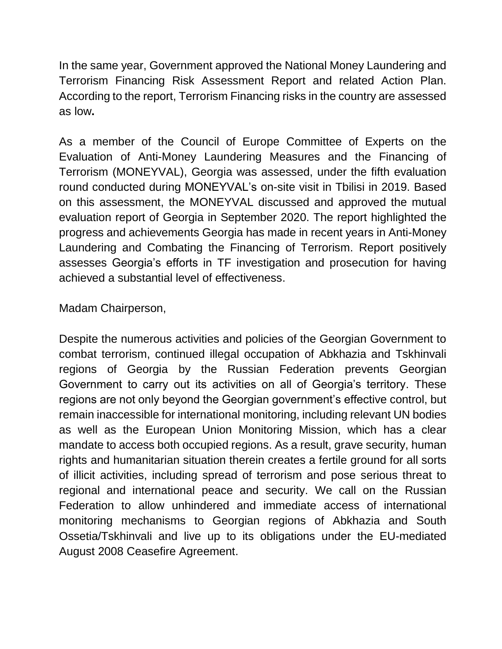In the same year, Government approved the National Money Laundering and Terrorism Financing Risk Assessment Report and related Action Plan. According to the report, Terrorism Financing risks in the country are assessed as low**.**

As a member of the Council of Europe Committee of Experts on the Evaluation of Anti-Money Laundering Measures and the Financing of Terrorism (MONEYVAL), Georgia was assessed, under the fifth evaluation round conducted during MONEYVAL's on-site visit in Tbilisi in 2019. Based on this assessment, the MONEYVAL discussed and approved the mutual evaluation report of Georgia in September 2020. The report highlighted the progress and achievements Georgia has made in recent years in Anti-Money Laundering and Combating the Financing of Terrorism. Report positively assesses Georgia's efforts in TF investigation and prosecution for having achieved a substantial level of effectiveness.

## Madam Chairperson,

Despite the numerous activities and policies of the Georgian Government to combat terrorism, continued illegal occupation of Abkhazia and Tskhinvali regions of Georgia by the Russian Federation prevents Georgian Government to carry out its activities on all of Georgia's territory. These regions are not only beyond the Georgian government's effective control, but remain inaccessible for international monitoring, including relevant UN bodies as well as the European Union Monitoring Mission, which has a clear mandate to access both occupied regions. As a result, grave security, human rights and humanitarian situation therein creates a fertile ground for all sorts of illicit activities, including spread of terrorism and pose serious threat to regional and international peace and security. We call on the Russian Federation to allow unhindered and immediate access of international monitoring mechanisms to Georgian regions of Abkhazia and South Ossetia/Tskhinvali and live up to its obligations under the EU-mediated August 2008 Ceasefire Agreement.